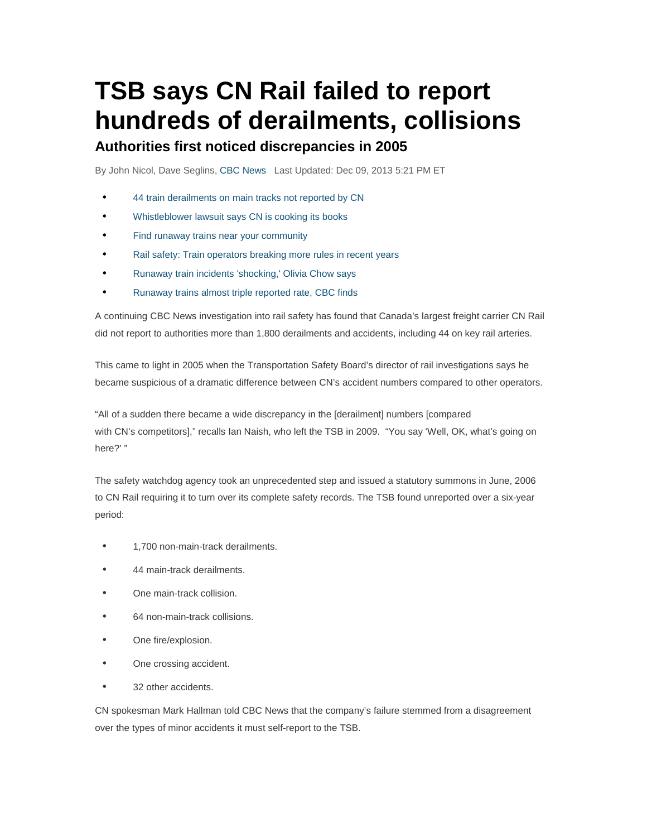# **TSB says CN Rail failed to report hundreds of derailments, collisions Authorities first noticed discrepancies in 2005**

By John Nicol, Dave Seglins, CBC News Last Updated: Dec 09, 2013 5:21 PM ET

- 44 train derailments on main tracks not reported by CN
- Whistleblower lawsuit says CN is cooking its books
- Find runaway trains near your community
- Rail safety: Train operators breaking more rules in recent years
- Runaway train incidents 'shocking,' Olivia Chow says
- Runaway trains almost triple reported rate, CBC finds

A continuing CBC News investigation into rail safety has found that Canada's largest freight carrier CN Rail did not report to authorities more than 1,800 derailments and accidents, including 44 on key rail arteries.

This came to light in 2005 when the Transportation Safety Board's director of rail investigations says he became suspicious of a dramatic difference between CN's accident numbers compared to other operators.

"All of a sudden there became a wide discrepancy in the [derailment] numbers [compared with CN's competitors]," recalls Ian Naish, who left the TSB in 2009. "You say 'Well, OK, what's going on here?' "

The safety watchdog agency took an unprecedented step and issued a statutory summons in June, 2006 to CN Rail requiring it to turn over its complete safety records. The TSB found unreported over a six-year period:

- 1,700 non-main-track derailments.
- 44 main-track derailments.
- One main-track collision.
- 64 non-main-track collisions.
- One fire/explosion.
- One crossing accident.
- 32 other accidents.

CN spokesman Mark Hallman told CBC News that the company's failure stemmed from a disagreement over the types of minor accidents it must self-report to the TSB.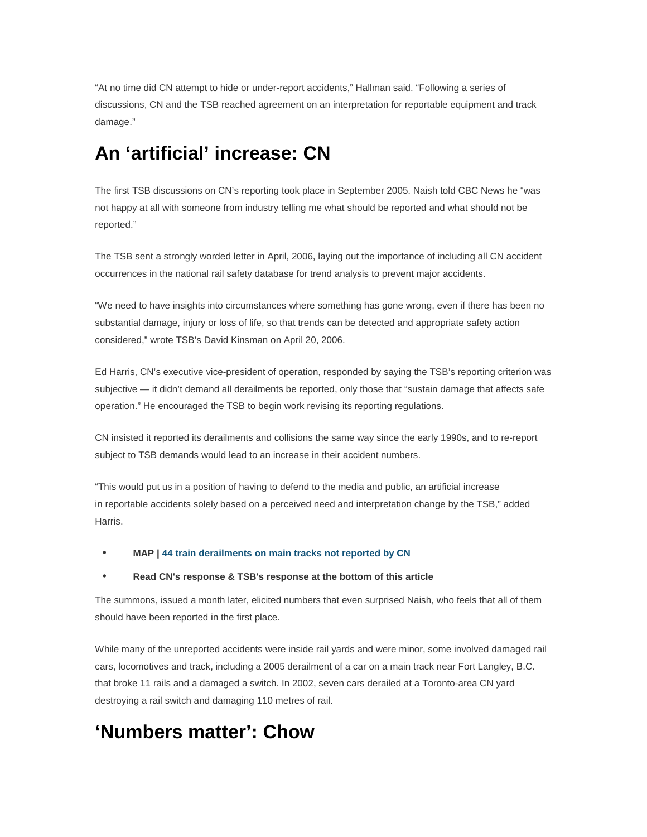"At no time did CN attempt to hide or under-report accidents," Hallman said. "Following a series of discussions, CN and the TSB reached agreement on an interpretation for reportable equipment and track damage."

## **An 'artificial' increase: CN**

The first TSB discussions on CN's reporting took place in September 2005. Naish told CBC News he "was not happy at all with someone from industry telling me what should be reported and what should not be reported."

The TSB sent a strongly worded letter in April, 2006, laying out the importance of including all CN accident occurrences in the national rail safety database for trend analysis to prevent major accidents.

"We need to have insights into circumstances where something has gone wrong, even if there has been no substantial damage, injury or loss of life, so that trends can be detected and appropriate safety action considered," wrote TSB's David Kinsman on April 20, 2006.

Ed Harris, CN's executive vice-president of operation, responded by saying the TSB's reporting criterion was subjective — it didn't demand all derailments be reported, only those that "sustain damage that affects safe operation." He encouraged the TSB to begin work revising its reporting regulations.

CN insisted it reported its derailments and collisions the same way since the early 1990s, and to re-report subject to TSB demands would lead to an increase in their accident numbers.

"This would put us in a position of having to defend to the media and public, an artificial increase in reportable accidents solely based on a perceived need and interpretation change by the TSB," added Harris.

#### • **MAP | 44 train derailments on main tracks not reported by CN**

#### • **Read CN's response & TSB's response at the bottom of this article**

The summons, issued a month later, elicited numbers that even surprised Naish, who feels that all of them should have been reported in the first place.

While many of the unreported accidents were inside rail yards and were minor, some involved damaged rail cars, locomotives and track, including a 2005 derailment of a car on a main track near Fort Langley, B.C. that broke 11 rails and a damaged a switch. In 2002, seven cars derailed at a Toronto-area CN yard destroying a rail switch and damaging 110 metres of rail.

### **'Numbers matter': Chow**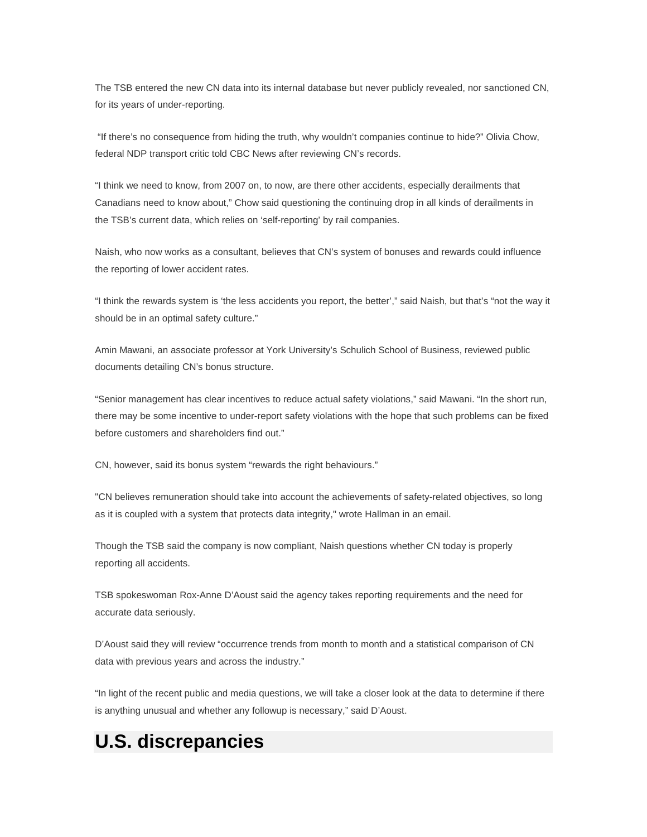The TSB entered the new CN data into its internal database but never publicly revealed, nor sanctioned CN, for its years of under-reporting.

 "If there's no consequence from hiding the truth, why wouldn't companies continue to hide?" Olivia Chow, federal NDP transport critic told CBC News after reviewing CN's records.

"I think we need to know, from 2007 on, to now, are there other accidents, especially derailments that Canadians need to know about," Chow said questioning the continuing drop in all kinds of derailments in the TSB's current data, which relies on 'self-reporting' by rail companies.

Naish, who now works as a consultant, believes that CN's system of bonuses and rewards could influence the reporting of lower accident rates.

"I think the rewards system is 'the less accidents you report, the better'," said Naish, but that's "not the way it should be in an optimal safety culture."

Amin Mawani, an associate professor at York University's Schulich School of Business, reviewed public documents detailing CN's bonus structure.

"Senior management has clear incentives to reduce actual safety violations," said Mawani. "In the short run, there may be some incentive to under-report safety violations with the hope that such problems can be fixed before customers and shareholders find out."

CN, however, said its bonus system "rewards the right behaviours."

"CN believes remuneration should take into account the achievements of safety-related objectives, so long as it is coupled with a system that protects data integrity," wrote Hallman in an email.

Though the TSB said the company is now compliant, Naish questions whether CN today is properly reporting all accidents.

TSB spokeswoman Rox-Anne D'Aoust said the agency takes reporting requirements and the need for accurate data seriously.

D'Aoust said they will review "occurrence trends from month to month and a statistical comparison of CN data with previous years and across the industry."

"In light of the recent public and media questions, we will take a closer look at the data to determine if there is anything unusual and whether any followup is necessary," said D'Aoust.

### **U.S. discrepancies**